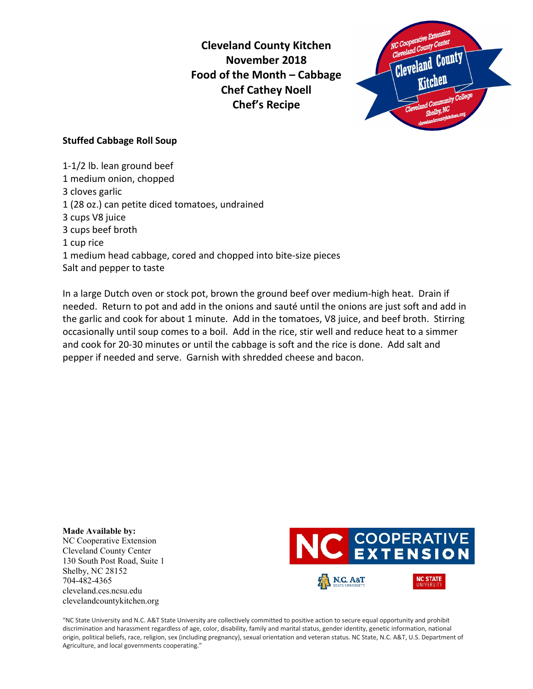**Cleveland County Kitchen November 2018 Food of the Month – Cabbage Chef Cathey Noell Chef's Recipe**



## **Stuffed Cabbage Roll Soup**

1-1/2 lb. lean ground beef 1 medium onion, chopped 3 cloves garlic 1 (28 oz.) can petite diced tomatoes, undrained 3 cups V8 juice 3 cups beef broth 1 cup rice 1 medium head cabbage, cored and chopped into bite-size pieces Salt and pepper to taste

In a large Dutch oven or stock pot, brown the ground beef over medium-high heat. Drain if needed. Return to pot and add in the onions and sauté until the onions are just soft and add in the garlic and cook for about 1 minute. Add in the tomatoes, V8 juice, and beef broth. Stirring occasionally until soup comes to a boil. Add in the rice, stir well and reduce heat to a simmer and cook for 20-30 minutes or until the cabbage is soft and the rice is done. Add salt and pepper if needed and serve. Garnish with shredded cheese and bacon.

**Made Available by:**  NC Cooperative Extension Cleveland County Center 130 South Post Road, Suite 1 Shelby, NC 28152 704-482-4365 cleveland.ces.ncsu.edu clevelandcountykitchen.org



"NC State University and N.C. A&T State University are collectively committed to positive action to secure equal opportunity and prohibit discrimination and harassment regardless of age, color, disability, family and marital status, gender identity, genetic information, national origin, political beliefs, race, religion, sex (including pregnancy), sexual orientation and veteran status. NC State, N.C. A&T, U.S. Department of Agriculture, and local governments cooperating."